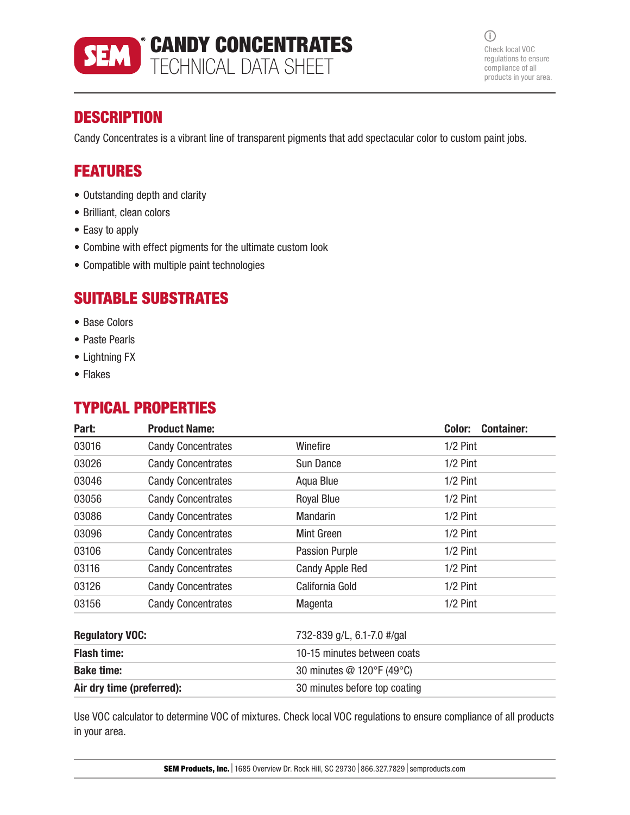

 $\odot$ Check local VOC regulations to ensure compliance of all products in your area.

# **DESCRIPTION**

Candy Concentrates is a vibrant line of transparent pigments that add spectacular color to custom paint jobs.

## FEATURES

- Outstanding depth and clarity
- Brilliant, clean colors
- Easy to apply
- Combine with effect pigments for the ultimate custom look
- Compatible with multiple paint technologies

### SUITABLE SUBSTRATES

- Base Colors
- Paste Pearls
- Lightning FX
- Flakes

## TYPICAL PROPERTIES

| Part:                                                | <b>Product Name:</b>                                       |                           | Color:<br><b>Container:</b> |
|------------------------------------------------------|------------------------------------------------------------|---------------------------|-----------------------------|
| 03016                                                | <b>Candy Concentrates</b>                                  | Winefire                  | $1/2$ Pint                  |
| 03026                                                | <b>Candy Concentrates</b>                                  | Sun Dance                 | $1/2$ Pint                  |
| 03046                                                | <b>Candy Concentrates</b>                                  | Aqua Blue                 | $1/2$ Pint                  |
| 03056                                                | <b>Candy Concentrates</b>                                  | <b>Royal Blue</b>         | $1/2$ Pint                  |
| 03086                                                | <b>Candy Concentrates</b>                                  | <b>Mandarin</b>           | $1/2$ Pint                  |
| 03096                                                | <b>Candy Concentrates</b>                                  | Mint Green                | $1/2$ Pint                  |
| 03106                                                | <b>Candy Concentrates</b>                                  | Passion Purple            | $1/2$ Pint                  |
| 03116                                                | <b>Candy Concentrates</b>                                  | <b>Candy Apple Red</b>    | $1/2$ Pint                  |
| 03126                                                | <b>Candy Concentrates</b>                                  | California Gold           | $1/2$ Pint                  |
| 03156                                                | <b>Candy Concentrates</b>                                  | Magenta                   | $1/2$ Pint                  |
| <b>Regulatory VOC:</b><br>732-839 g/L, 6.1-7.0 #/gal |                                                            |                           |                             |
| <b>Flash time:</b><br>10-15 minutes between coats    |                                                            |                           |                             |
| <b>Bake time:</b>                                    |                                                            | 30 minutes @ 120°F (49°C) |                             |
|                                                      | Air dry time (preferred):<br>30 minutes before top coating |                           |                             |

Use VOC calculator to determine VOC of mixtures. Check local VOC regulations to ensure compliance of all products in your area.

SEM Products, Inc. | 1685 Overview Dr. Rock Hill, SC 29730 | 866.327.7829 | semproducts.com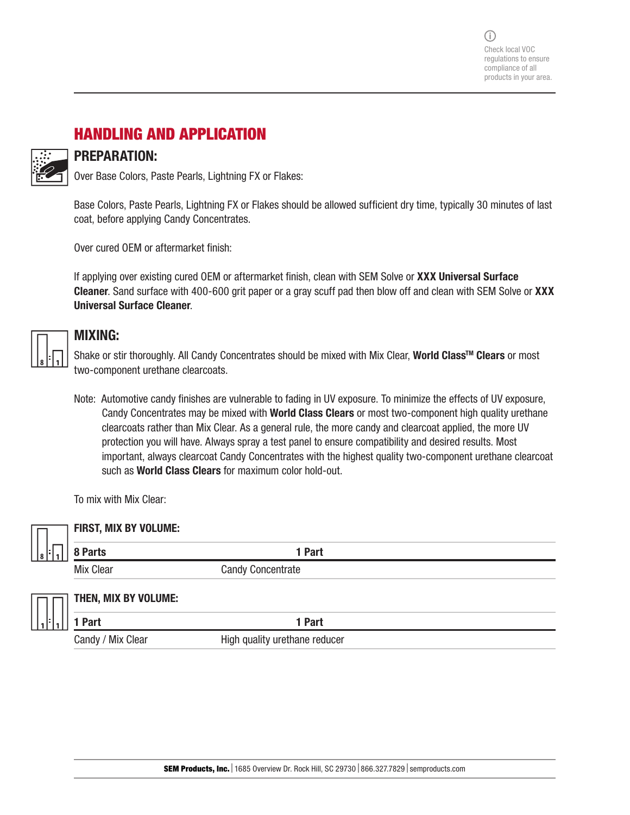$(i)$ Check local VOC regulations to ensure compliance of all products in your area.

### HANDLING AND APPLICATION

### PREPARATION:

Over Base Colors, Paste Pearls, Lightning FX or Flakes:

Base Colors, Paste Pearls, Lightning FX or Flakes should be allowed sufficient dry time, typically 30 minutes of last coat, before applying Candy Concentrates.

Over cured OEM or aftermarket finish:

If applying over existing cured OEM or aftermarket finish, clean with SEM Solve or XXX Universal Surface Cleaner. Sand surface with 400-600 grit paper or a gray scuff pad then blow off and clean with SEM Solve or XXX Universal Surface Cleaner.

|  | Ξ<br>ä |  |
|--|--------|--|

### MIXING:

Shake or stir thoroughly. All Candy Concentrates should be mixed with Mix Clear, World Class<sup>™</sup> Clears or most two-component urethane clearcoats.

Note: Automotive candy finishes are vulnerable to fading in UV exposure. To minimize the effects of UV exposure, Candy Concentrates may be mixed with World Class Clears or most two-component high quality urethane clearcoats rather than Mix Clear. As a general rule, the more candy and clearcoat applied, the more UV protection you will have. Always spray a test panel to ensure compatibility and desired results. Most important, always clearcoat Candy Concentrates with the highest quality two-component urethane clearcoat such as **World Class Clears** for maximum color hold-out.

To mix with Mix Clear:

|       | <b>FIRST, MIX BY VOLUME:</b> |                          |  |
|-------|------------------------------|--------------------------|--|
| 8 F I | 8 Parts                      | 1 Part                   |  |
|       | <b>Mix Clear</b>             | <b>Candy Concentrate</b> |  |
|       |                              |                          |  |
|       | THEN, MIX BY VOLUME:         |                          |  |
|       | I Part                       | 1 Part                   |  |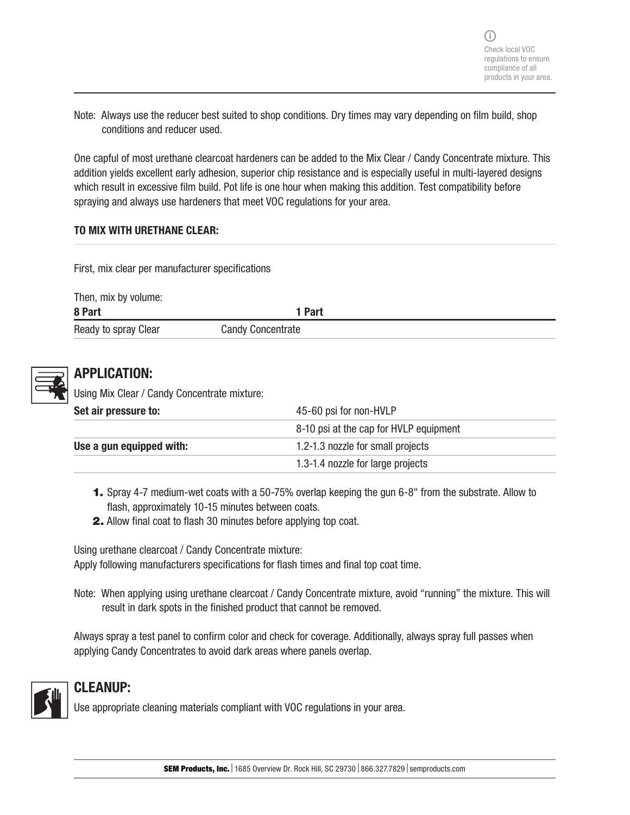Note: Always use the reducer best suited to shop conditions. Dry times may vary depending on film build, shop conditions and reducer used.

One capful of most urethane clearcoat hardeners can be added to the Mix Clear / Candy Concentrate mixture. This addition yields excellent early adhesion, superior chip resistance and is especially useful in multi-layered designs which result in excessive film build. Pot life is one hour when making this addition. Test compatibility before spraying and always use hardeners that meet VOC regulations for your area.

#### TO MIX WITH URETHANE CLEAR:

First, mix clear per manufacturer specifications

| Then, mix by volume: |                          |
|----------------------|--------------------------|
| 8 Part               | 1 Part                   |
| Ready to spray Clear | <b>Candy Concentrate</b> |



### APPLICATION:

Using Mix Clear / Candy Concentrate mixture:

| Set air pressure to:     | 45-60 psi for non-HVLP                 |  |
|--------------------------|----------------------------------------|--|
|                          | 8-10 psi at the cap for HVLP equipment |  |
| Use a gun equipped with: | 1.2-1.3 nozzle for small projects      |  |
|                          | 1.3-1.4 nozzle for large projects      |  |

- 1. Spray 4-7 medium-wet coats with a 50-75% overlap keeping the gun 6-8" from the substrate. Allow to flash, approximately 10-15 minutes between coats.
- 2. Allow final coat to flash 30 minutes before applying top coat.

Using urethane clearcoat / Candy Concentrate mixture: Apply following manufacturers specifications for flash times and final top coat time.

Note: When applying using urethane clearcoat / Candy Concentrate mixture, avoid "running" the mixture. This will result in dark spots in the finished product that cannot be removed.

Always spray a test panel to confirm color and check for coverage. Additionally, always spray full passes when applying Candy Concentrates to avoid dark areas where panels overlap.



### CLEANUP:

Use appropriate cleaning materials compliant with VOC regulations in your area.